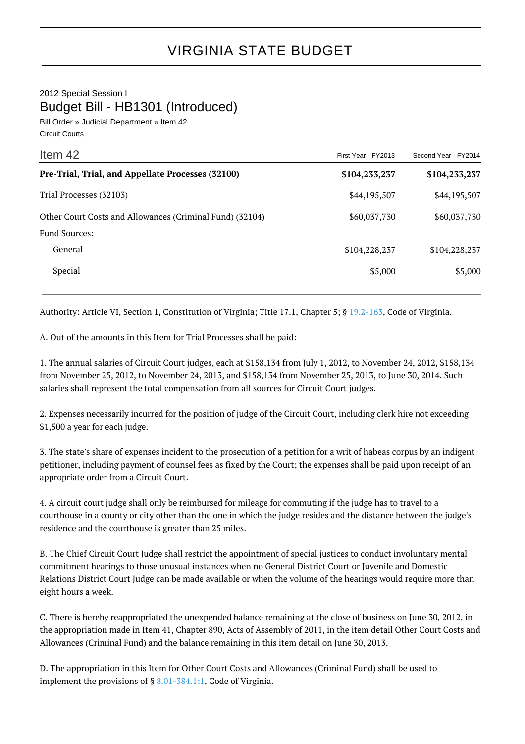## 2012 Special Session I Budget Bill - HB1301 (Introduced)

Bill Order » Judicial Department » Item 42 Circuit Courts

| Item 42                                                  | First Year - FY2013 | Second Year - FY2014 |
|----------------------------------------------------------|---------------------|----------------------|
| Pre-Trial, Trial, and Appellate Processes (32100)        | \$104,233,237       | \$104,233,237        |
| Trial Processes (32103)                                  | \$44,195,507        | \$44,195,507         |
| Other Court Costs and Allowances (Criminal Fund) (32104) | \$60,037,730        | \$60,037,730         |
| <b>Fund Sources:</b>                                     |                     |                      |
| General                                                  | \$104,228,237       | \$104,228,237        |
| Special                                                  | \$5,000             | \$5,000              |

Authority: Article VI, Section 1, Constitution of Virginia; Title 17.1, Chapter 5; § [19.2-163,](http://law.lis.virginia.gov/vacode/19.2-163/) Code of Virginia.

A. Out of the amounts in this Item for Trial Processes shall be paid:

1. The annual salaries of Circuit Court judges, each at \$158,134 from July 1, 2012, to November 24, 2012, \$158,134 from November 25, 2012, to November 24, 2013, and \$158,134 from November 25, 2013, to June 30, 2014. Such salaries shall represent the total compensation from all sources for Circuit Court judges.

2. Expenses necessarily incurred for the position of judge of the Circuit Court, including clerk hire not exceeding \$1,500 a year for each judge.

3. The state's share of expenses incident to the prosecution of a petition for a writ of habeas corpus by an indigent petitioner, including payment of counsel fees as fixed by the Court; the expenses shall be paid upon receipt of an appropriate order from a Circuit Court.

4. A circuit court judge shall only be reimbursed for mileage for commuting if the judge has to travel to a courthouse in a county or city other than the one in which the judge resides and the distance between the judge's residence and the courthouse is greater than 25 miles.

B. The Chief Circuit Court Judge shall restrict the appointment of special justices to conduct involuntary mental commitment hearings to those unusual instances when no General District Court or Juvenile and Domestic Relations District Court Judge can be made available or when the volume of the hearings would require more than eight hours a week.

C. There is hereby reappropriated the unexpended balance remaining at the close of business on June 30, 2012, in the appropriation made in Item 41, Chapter 890, Acts of Assembly of 2011, in the item detail Other Court Costs and Allowances (Criminal Fund) and the balance remaining in this item detail on June 30, 2013.

D. The appropriation in this Item for Other Court Costs and Allowances (Criminal Fund) shall be used to implement the provisions of § [8.01-384.1:1,](http://law.lis.virginia.gov/vacode/8.01-384.1:1/) Code of Virginia.